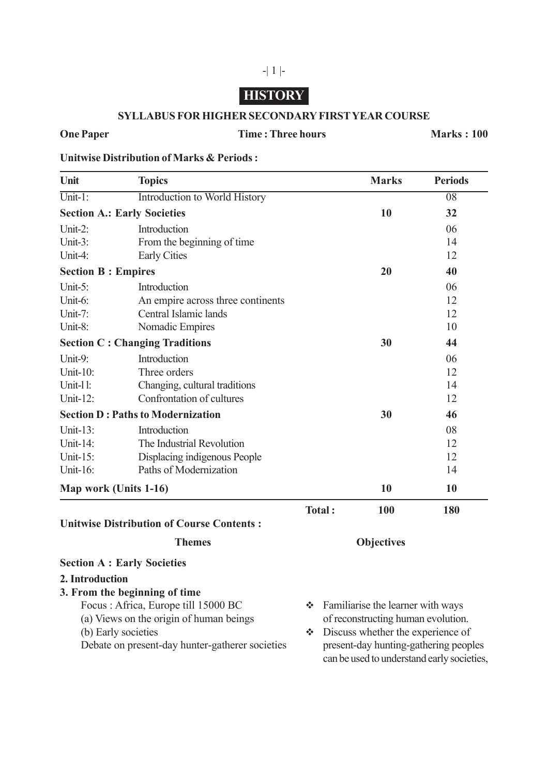# **HISTORY**

-| 1 |-

#### **SYLLABUS FOR HIGHER SECONDARY FIRST YEAR COURSE**

# **One Paper Time : Three hours Marks : 100**

**Unitwise Distribution of Marks & Periods :**

Debate on present-day hunter-gatherer societies

| Unit                                     | <b>Topics</b>                                    |                                        | <b>Marks</b>                       | <b>Periods</b>  |
|------------------------------------------|--------------------------------------------------|----------------------------------------|------------------------------------|-----------------|
| $\overline{\text{Unit-1}}$ :             | Introduction to World History                    |                                        |                                    | $\overline{08}$ |
| <b>Section A.: Early Societies</b>       |                                                  |                                        | 10                                 | 32              |
| Unit-2:                                  | Introduction                                     |                                        |                                    | 06              |
| Unit-3:                                  | From the beginning of time                       |                                        |                                    | 14              |
| Unit-4:                                  | <b>Early Cities</b>                              |                                        |                                    | 12              |
| <b>Section B: Empires</b>                |                                                  |                                        | 20                                 | 40              |
| Unit-5:                                  | Introduction                                     |                                        |                                    | 06              |
| Unit-6:                                  | An empire across three continents                |                                        |                                    | 12              |
| Unit-7:                                  | Central Islamic lands                            |                                        |                                    | 12              |
| Unit-8:                                  | Nomadic Empires                                  |                                        |                                    | 10              |
| <b>Section C: Changing Traditions</b>    |                                                  |                                        | 30                                 | 44              |
| Unit-9:                                  | Introduction                                     |                                        |                                    | 06              |
| Unit-10:                                 | Three orders                                     |                                        |                                    | 12              |
| Unit-11:                                 | Changing, cultural traditions                    |                                        |                                    | 14              |
| Unit-12:                                 | Confrontation of cultures                        |                                        |                                    | 12              |
| <b>Section D: Paths to Modernization</b> |                                                  |                                        | 30                                 | 46              |
| Unit-13:                                 | Introduction                                     |                                        |                                    | 08              |
| Unit-14:                                 | The Industrial Revolution                        |                                        |                                    | 12              |
| Unit- $15$ :                             | Displacing indigenous People                     |                                        |                                    | 12              |
| Unit-16:                                 | Paths of Modernization                           |                                        |                                    | 14              |
| Map work (Units 1-16)                    |                                                  |                                        | 10                                 | 10              |
|                                          |                                                  | Total:                                 | 100                                | 180             |
|                                          | <b>Unitwise Distribution of Course Contents:</b> |                                        |                                    |                 |
| <b>Themes</b>                            |                                                  | <b>Objectives</b>                      |                                    |                 |
|                                          | <b>Section A : Early Societies</b>               |                                        |                                    |                 |
| 2. Introduction                          |                                                  |                                        |                                    |                 |
|                                          | 3. From the beginning of time                    |                                        |                                    |                 |
| Focus: Africa, Europe till 15000 BC      |                                                  | Familiarise the learner with ways<br>榛 |                                    |                 |
| (a) Views on the origin of human beings  |                                                  |                                        | of reconstructing human evolution. |                 |
|                                          |                                                  |                                        |                                    |                 |

(b) Early societies  $\bullet$  Discuss whether the experience of Debate on present-day hunter-gatherer societies  $\bullet$  Discuss whether the experience of can be used to understand early societies,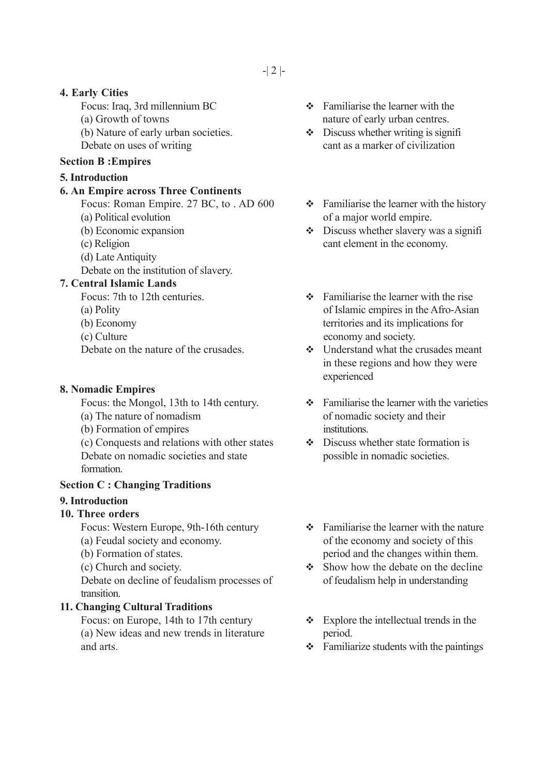### **4. Early Cities**

(a) Growth of towns nature of early urban centres. (b) Nature of early urban societies.  $\bullet$  Discuss whether writing is signifi-Debate on uses of writing cant as a marker of civilization

#### **Section B :Empires**

#### **5. Introduction**

#### **6. An Empire across Three Continents**

Focus: Roman Empire. 27 BC, to . AD 600  $\bullet$  Familiarise the learner with the history (a) Political evolution of a major world empire.

- 
- 
- (d) Late Antiquity
- Debate on the institution of slavery.

#### **7. Central Islamic Lands**

- 
- 
- 
- 

### **8. Nomadic Empires**

- 
- (b) Formation of empires institutions.

(c) Conquests and relations with other states Discuss whether state formation is Debate on nomadic societies and state possible in nomadic societies. formation.

#### **Section C : Changing Traditions**

#### **9. Introduction**

# **10. Three orders**

Focus: Western Europe, 9th-16th century  $\bullet$  Familiarise the learner with the nature

- 
- 
- 

Debate on decline of feudalism processes of of feudalism help in understanding transition.

# **11. Changing Cultural Traditions**

(a) New ideas and new trends in literature period. and arts.  $\bullet$  Familiarize students with the paintings

- Focus: Iraq, 3rd millennium BC  $\bullet$  Familiarise the learner with the
	-
	-
- (b) Economic expansion  $\bullet$  Discuss whether slavery was a signifi (c) Religion cant element in the economy.
- Focus: 7th to 12th centuries.  $\bullet$  Familiarise the learner with the rise (a) Polity of Islamic empires in the Afro-Asian (b) Economy territories and its implications for (c) Culture economy and society.
- Debate on the nature of the crusades  $\bullet$  Understand what the crusades meant in these regions and how they were experienced
- Focus: the Mongol, 13th to 14th century.  $\bullet$  Familiarise the learner with the varieties (a) The nature of nomadism of nomadic society and their
	-
- (a) Feudal society and economy. of the economy and society of this (b) Formation of states. period and the changes within them.
- (c) Church and society.  $\bullet$  Show how the debate on the decline
- Focus: on Europe, 14th to 17th century  $\bullet$  Explore the intellectual trends in the
	-